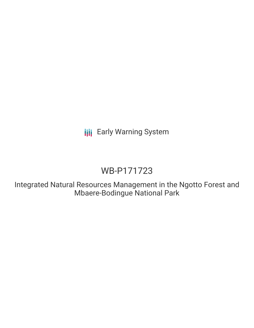**III** Early Warning System

# WB-P171723

Integrated Natural Resources Management in the Ngotto Forest and Mbaere-Bodingue National Park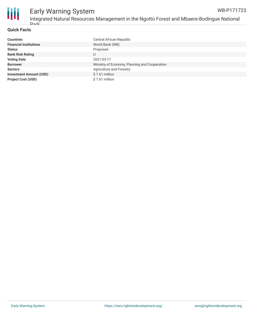

#### **Quick Facts**

| <b>Countries</b>               | Central African Republic                      |
|--------------------------------|-----------------------------------------------|
| <b>Financial Institutions</b>  | World Bank (WB)                               |
| <b>Status</b>                  | Proposed                                      |
| <b>Bank Risk Rating</b>        | U                                             |
| <b>Voting Date</b>             | 2021-03-17                                    |
| <b>Borrower</b>                | Ministry of Economy, Planning and Cooperation |
| <b>Sectors</b>                 | Agriculture and Forestry                      |
| <b>Investment Amount (USD)</b> | $$7.61$ million                               |
| <b>Project Cost (USD)</b>      | \$7.61 million                                |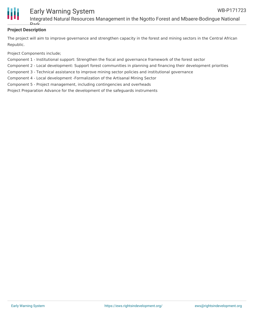

### **Project Description**

The project will aim to improve governance and strengthen capacity in the forest and mining sectors in the Central African Republic.

Project Components include;

Park

Component 1 - Institutional support: Strengthen the fiscal and governance framework of the forest sector

Component 2 - Local development: Support forest communities in planning and financing their development priorities

Component 3 - Technical assistance to improve mining sector policies and institutional governance

Component 4 - Local development -Formalization of the Artisanal Mining Sector

Component 5 - Project management, including contingencies and overheads

Project Preparation Advance for the development of the safeguards instruments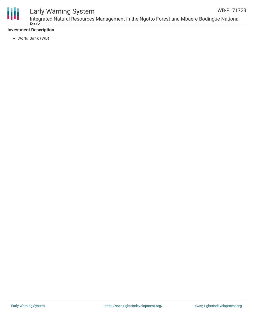

#### Early Warning System Integrated Natural Resources Management in the Ngotto Forest and Mbaere-Bodingue National Park WB-P171723

#### **Investment Description**

World Bank (WB)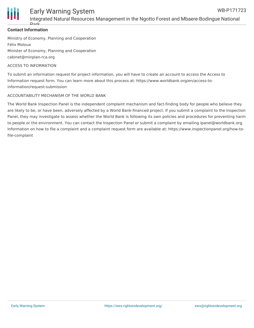

#### **Contact Information**

Park

Ministry of Economy, Planning and Cooperation Félix Moloua Minister of Economy, Planning and Cooperation cabinet@minplan-rca.org

#### ACCESS TO INFORMATION

To submit an information request for project information, you will have to create an account to access the Access to Information request form. You can learn more about this process at: https://www.worldbank.org/en/access-toinformation/request-submission

#### ACCOUNTABILITY MECHANISM OF THE WORLD BANK

The World Bank Inspection Panel is the independent complaint mechanism and fact-finding body for people who believe they are likely to be, or have been, adversely affected by a World Bank-financed project. If you submit a complaint to the Inspection Panel, they may investigate to assess whether the World Bank is following its own policies and procedures for preventing harm to people or the environment. You can contact the Inspection Panel or submit a complaint by emailing ipanel@worldbank.org. Information on how to file a complaint and a complaint request form are available at: https://www.inspectionpanel.org/how-tofile-complaint